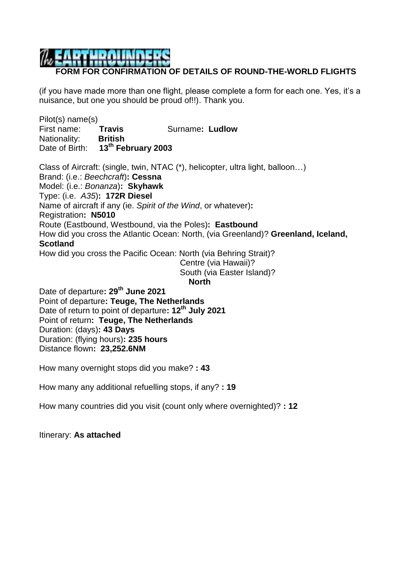## **FORM FOR CONFIRMATION OF DETAILS OF ROUND-THE-WORLD FLIGHTS**

(if you have made more than one flight, please complete a form for each one. Yes, it's a nuisance, but one you should be proud of!!). Thank you.

Pilot(s) name(s) First name: **Travis** Surname**: Ludlow** Nationality: **British** Date of Birth: **13th February 2003** Class of Aircraft: (single, twin, NTAC (\*), helicopter, ultra light, balloon…) Brand: (i.e.: *Beechcraft*)**: Cessna**  Model: (i.e.: *Bonanza*)**: Skyhawk** Type: (i.e. *A35*)**: 172R Diesel** Name of aircraft if any (ie. *Spirit of the Wind*, or whatever)**:** Registration**: N5010** Route (Eastbound, Westbound, via the Poles)**: Eastbound** How did you cross the Atlantic Ocean: North, (via Greenland)? **Greenland, Iceland, Scotland** How did you cross the Pacific Ocean: North (via Behring Strait)? Centre (via Hawaii)? South (via Easter Island)?

**North**

Date of departure**: 29th June 2021** Point of departure**: Teuge, The Netherlands** Date of return to point of departure**: 12th July 2021** Point of return**: Teuge, The Netherlands** Duration: (days)**: 43 Days** Duration: (flying hours)**: 235 hours** Distance flown**: 23,252.6NM**

How many overnight stops did you make? **: 43**

How many any additional refuelling stops, if any? **: 19**

How many countries did you visit (count only where overnighted)? **: 12**

Itinerary: **As attached**